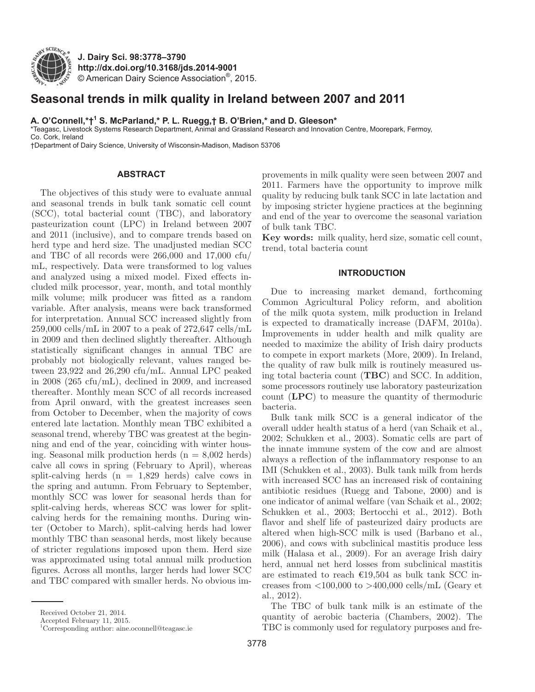

**J. Dairy Sci. 98:3778–3790 http://dx.doi.org/10.3168/jds.2014-9001** © American Dairy Science Association®, 2015.

# **Seasonal trends in milk quality in Ireland between 2007 and 2011**

**A. O'Connell,\*†1 S. McParland,\* P. L. Ruegg,† B. O'Brien,\* and D. Gleeson\***

\*Teagasc, Livestock Systems Research Department, Animal and Grassland Research and Innovation Centre, Moorepark, Fermoy, Co. Cork, Ireland

†Department of Dairy Science, University of Wisconsin-Madison, Madison 53706

## **ABSTRACT**

The objectives of this study were to evaluate annual and seasonal trends in bulk tank somatic cell count (SCC), total bacterial count (TBC), and laboratory pasteurization count (LPC) in Ireland between 2007 and 2011 (inclusive), and to compare trends based on herd type and herd size. The unadjusted median SCC and TBC of all records were 266,000 and 17,000 cfu/ mL, respectively. Data were transformed to log values and analyzed using a mixed model. Fixed effects included milk processor, year, month, and total monthly milk volume; milk producer was fitted as a random variable. After analysis, means were back transformed for interpretation. Annual SCC increased slightly from 259,000 cells/mL in 2007 to a peak of 272,647 cells/mL in 2009 and then declined slightly thereafter. Although statistically significant changes in annual TBC are probably not biologically relevant, values ranged between 23,922 and 26,290 cfu/mL. Annual LPC peaked in 2008 (265 cfu/mL), declined in 2009, and increased thereafter. Monthly mean SCC of all records increased from April onward, with the greatest increases seen from October to December, when the majority of cows entered late lactation. Monthly mean TBC exhibited a seasonal trend, whereby TBC was greatest at the beginning and end of the year, coinciding with winter housing. Seasonal milk production herds  $(n = 8,002 \text{ herds})$ calve all cows in spring (February to April), whereas split-calving herds  $(n = 1,829$  herds) calve cows in the spring and autumn. From February to September, monthly SCC was lower for seasonal herds than for split-calving herds, whereas SCC was lower for splitcalving herds for the remaining months. During winter (October to March), split-calving herds had lower monthly TBC than seasonal herds, most likely because of stricter regulations imposed upon them. Herd size was approximated using total annual milk production figures. Across all months, larger herds had lower SCC and TBC compared with smaller herds. No obvious improvements in milk quality were seen between 2007 and 2011. Farmers have the opportunity to improve milk quality by reducing bulk tank SCC in late lactation and by imposing stricter hygiene practices at the beginning and end of the year to overcome the seasonal variation of bulk tank TBC.

**Key words:** milk quality, herd size, somatic cell count, trend, total bacteria count

## **INTRODUCTION**

Due to increasing market demand, forthcoming Common Agricultural Policy reform, and abolition of the milk quota system, milk production in Ireland is expected to dramatically increase (DAFM, 2010a). Improvements in udder health and milk quality are needed to maximize the ability of Irish dairy products to compete in export markets (More, 2009). In Ireland, the quality of raw bulk milk is routinely measured using total bacteria count (**TBC**) and SCC. In addition, some processors routinely use laboratory pasteurization count (**LPC**) to measure the quantity of thermoduric bacteria.

Bulk tank milk SCC is a general indicator of the overall udder health status of a herd (van Schaik et al., 2002; Schukken et al., 2003). Somatic cells are part of the innate immune system of the cow and are almost always a reflection of the inflammatory response to an IMI (Schukken et al., 2003). Bulk tank milk from herds with increased SCC has an increased risk of containing antibiotic residues (Ruegg and Tabone, 2000) and is one indicator of animal welfare (van Schaik et al., 2002; Schukken et al., 2003; Bertocchi et al., 2012). Both flavor and shelf life of pasteurized dairy products are altered when high-SCC milk is used (Barbano et al., 2006), and cows with subclinical mastitis produce less milk (Halasa et al., 2009). For an average Irish dairy herd, annual net herd losses from subclinical mastitis are estimated to reach  $\epsilon$ 19,504 as bulk tank SCC increases from  $\langle 100,000 \rangle$  to  $>400,000 \rangle$  cells/mL (Geary et al., 2012).

The TBC of bulk tank milk is an estimate of the quantity of aerobic bacteria (Chambers, 2002). The TBC is commonly used for regulatory purposes and fre-

Received October 21, 2014.

Accepted February 11, 2015.

<sup>1</sup> Corresponding author: aine.oconnell@teagasc.ie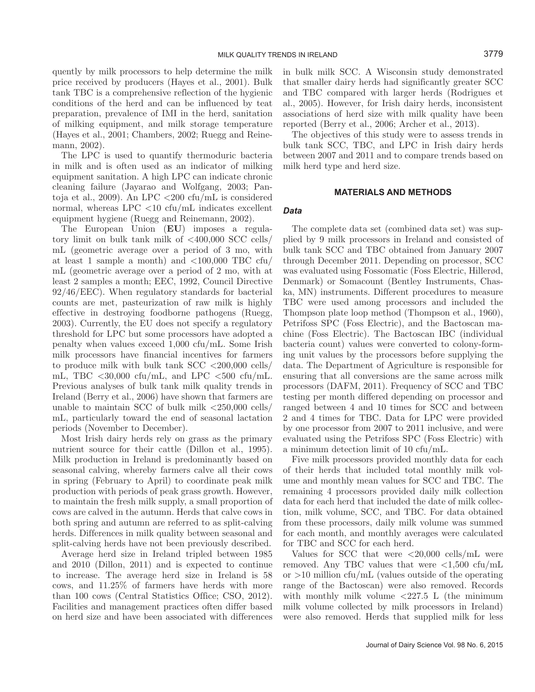quently by milk processors to help determine the milk price received by producers (Hayes et al., 2001). Bulk tank TBC is a comprehensive reflection of the hygienic conditions of the herd and can be influenced by teat preparation, prevalence of IMI in the herd, sanitation of milking equipment, and milk storage temperature (Hayes et al., 2001; Chambers, 2002; Ruegg and Reinemann, 2002).

The LPC is used to quantify thermoduric bacteria in milk and is often used as an indicator of milking equipment sanitation. A high LPC can indicate chronic cleaning failure (Jayarao and Wolfgang, 2003; Pantoja et al., 2009). An LPC <200 cfu/mL is considered normal, whereas  $LPC < 10$  cfu/mL indicates excellent equipment hygiene (Ruegg and Reinemann, 2002).

The European Union (**EU**) imposes a regulatory limit on bulk tank milk of  $\langle 400,000 \rangle$  SCC cells/ mL (geometric average over a period of 3 mo, with at least 1 sample a month) and <100,000 TBC cfu/ mL (geometric average over a period of 2 mo, with at least 2 samples a month; EEC, 1992, Council Directive 92/46/EEC). When regulatory standards for bacterial counts are met, pasteurization of raw milk is highly effective in destroying foodborne pathogens (Ruegg, 2003). Currently, the EU does not specify a regulatory threshold for LPC but some processors have adopted a penalty when values exceed 1,000 cfu/mL. Some Irish milk processors have financial incentives for farmers to produce milk with bulk tank  $SCC < 200,000$  cells/ mL, TBC  $\langle 30,000 \text{ cft/mL}$ , and LPC  $\langle 500 \text{ cft/mL} \rangle$ . Previous analyses of bulk tank milk quality trends in Ireland (Berry et al., 2006) have shown that farmers are unable to maintain SCC of bulk milk  $\langle 250,000 \text{ cells} / \rangle$ mL, particularly toward the end of seasonal lactation periods (November to December).

Most Irish dairy herds rely on grass as the primary nutrient source for their cattle (Dillon et al., 1995). Milk production in Ireland is predominantly based on seasonal calving, whereby farmers calve all their cows in spring (February to April) to coordinate peak milk production with periods of peak grass growth. However, to maintain the fresh milk supply, a small proportion of cows are calved in the autumn. Herds that calve cows in both spring and autumn are referred to as split-calving herds. Differences in milk quality between seasonal and split-calving herds have not been previously described.

Average herd size in Ireland tripled between 1985 and 2010 (Dillon, 2011) and is expected to continue to increase. The average herd size in Ireland is 58 cows, and 11.25% of farmers have herds with more than 100 cows (Central Statistics Office; CSO, 2012). Facilities and management practices often differ based on herd size and have been associated with differences in bulk milk SCC. A Wisconsin study demonstrated that smaller dairy herds had significantly greater SCC and TBC compared with larger herds (Rodrigues et al., 2005). However, for Irish dairy herds, inconsistent associations of herd size with milk quality have been reported (Berry et al., 2006; Archer et al., 2013).

The objectives of this study were to assess trends in bulk tank SCC, TBC, and LPC in Irish dairy herds between 2007 and 2011 and to compare trends based on milk herd type and herd size.

## **MATERIALS AND METHODS**

#### *Data*

The complete data set (combined data set) was supplied by 9 milk processors in Ireland and consisted of bulk tank SCC and TBC obtained from January 2007 through December 2011. Depending on processor, SCC was evaluated using Fossomatic (Foss Electric, Hillerød, Denmark) or Somacount (Bentley Instruments, Chaska, MN) instruments. Different procedures to measure TBC were used among processors and included the Thompson plate loop method (Thompson et al., 1960), Petrifoss SPC (Foss Electric), and the Bactoscan machine (Foss Electric). The Bactoscan IBC (individual bacteria count) values were converted to colony-forming unit values by the processors before supplying the data. The Department of Agriculture is responsible for ensuring that all conversions are the same across milk processors (DAFM, 2011). Frequency of SCC and TBC testing per month differed depending on processor and ranged between 4 and 10 times for SCC and between 2 and 4 times for TBC. Data for LPC were provided by one processor from 2007 to 2011 inclusive, and were evaluated using the Petrifoss SPC (Foss Electric) with a minimum detection limit of 10 cfu/mL.

Five milk processors provided monthly data for each of their herds that included total monthly milk volume and monthly mean values for SCC and TBC. The remaining 4 processors provided daily milk collection data for each herd that included the date of milk collection, milk volume, SCC, and TBC. For data obtained from these processors, daily milk volume was summed for each month, and monthly averages were calculated for TBC and SCC for each herd.

Values for SCC that were  $\langle 20,000 \text{ cells/mL} \rangle$  were removed. Any TBC values that were  $\langle 1,500 \text{ cfu/mL} \rangle$ or  $>10$  million cfu/mL (values outside of the operating range of the Bactoscan) were also removed. Records with monthly milk volume  $\langle 227.5 \text{ L}$  (the minimum milk volume collected by milk processors in Ireland) were also removed. Herds that supplied milk for less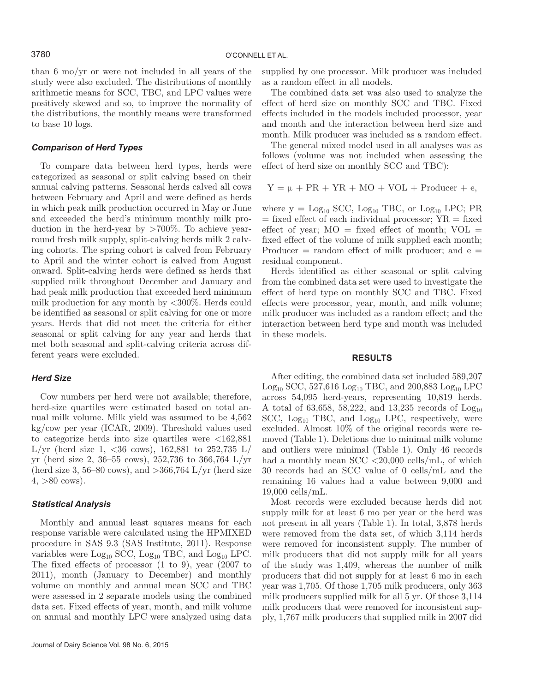than 6 mo/yr or were not included in all years of the study were also excluded. The distributions of monthly arithmetic means for SCC, TBC, and LPC values were positively skewed and so, to improve the normality of the distributions, the monthly means were transformed to base 10 logs.

#### *Comparison of Herd Types*

To compare data between herd types, herds were categorized as seasonal or split calving based on their annual calving patterns. Seasonal herds calved all cows between February and April and were defined as herds in which peak milk production occurred in May or June and exceeded the herd's minimum monthly milk production in the herd-year by >700%. To achieve yearround fresh milk supply, split-calving herds milk 2 calving cohorts. The spring cohort is calved from February to April and the winter cohort is calved from August onward. Split-calving herds were defined as herds that supplied milk throughout December and January and had peak milk production that exceeded herd minimum milk production for any month by <300%. Herds could be identified as seasonal or split calving for one or more years. Herds that did not meet the criteria for either seasonal or split calving for any year and herds that met both seasonal and split-calving criteria across different years were excluded.

#### *Herd Size*

Cow numbers per herd were not available; therefore, herd-size quartiles were estimated based on total annual milk volume. Milk yield was assumed to be 4,562 kg/cow per year (ICAR, 2009). Threshold values used to categorize herds into size quartiles were  $\langle 162,881 \rangle$ L/yr (herd size 1, <36 cows), 162,881 to 252,735 L/ yr (herd size 2, 36–55 cows), 252,736 to 366,764 L/yr (herd size 3, 56–80 cows), and  $>$ 366,764 L/yr (herd size  $4, >80 \text{ cows}.$ 

## *Statistical Analysis*

Monthly and annual least squares means for each response variable were calculated using the HPMIXED procedure in SAS 9.3 (SAS Institute, 2011). Response variables were  $Log_{10}$  SCC,  $Log_{10}$  TBC, and  $Log_{10}$  LPC. The fixed effects of processor (1 to 9), year (2007 to 2011), month (January to December) and monthly volume on monthly and annual mean SCC and TBC were assessed in 2 separate models using the combined data set. Fixed effects of year, month, and milk volume on annual and monthly LPC were analyzed using data supplied by one processor. Milk producer was included as a random effect in all models.

The combined data set was also used to analyze the effect of herd size on monthly SCC and TBC. Fixed effects included in the models included processor, year and month and the interaction between herd size and month. Milk producer was included as a random effect.

The general mixed model used in all analyses was as follows (volume was not included when assessing the effect of herd size on monthly SCC and TBC):

$$
Y = \mu + PR + YR + MO + VOL + Product + e,
$$

where  $y = Log_{10} \text{SCC}$ ,  $Log_{10} \text{TBC}$ , or  $Log_{10} \text{LPC}$ ; PR  $=$  fixed effect of each individual processor;  $YR =$  fixed effect of year;  $MO = fixed$  effect of month;  $VOL =$ fixed effect of the volume of milk supplied each month; Producer  $=$  random effect of milk producer; and  $e =$ residual component.

Herds identified as either seasonal or split calving from the combined data set were used to investigate the effect of herd type on monthly SCC and TBC. Fixed effects were processor, year, month, and milk volume; milk producer was included as a random effect; and the interaction between herd type and month was included in these models.

#### **RESULTS**

After editing, the combined data set included 589,207  $Log_{10}$  SCC, 527,616  $Log_{10}$  TBC, and 200,883  $Log_{10}$  LPC across 54,095 herd-years, representing 10,819 herds. A total of 63,658, 58,222, and 13,235 records of  $Log_{10}$ SCC,  $Log_{10}$  TBC, and  $Log_{10}$  LPC, respectively, were excluded. Almost 10% of the original records were removed (Table 1). Deletions due to minimal milk volume and outliers were minimal (Table 1). Only 46 records had a monthly mean SCC <20,000 cells/mL, of which 30 records had an SCC value of 0 cells/mL and the remaining 16 values had a value between 9,000 and 19,000 cells/mL.

Most records were excluded because herds did not supply milk for at least 6 mo per year or the herd was not present in all years (Table 1). In total, 3,878 herds were removed from the data set, of which 3,114 herds were removed for inconsistent supply. The number of milk producers that did not supply milk for all years of the study was 1,409, whereas the number of milk producers that did not supply for at least 6 mo in each year was 1,705. Of those 1,705 milk producers, only 363 milk producers supplied milk for all 5 yr. Of those 3,114 milk producers that were removed for inconsistent supply, 1,767 milk producers that supplied milk in 2007 did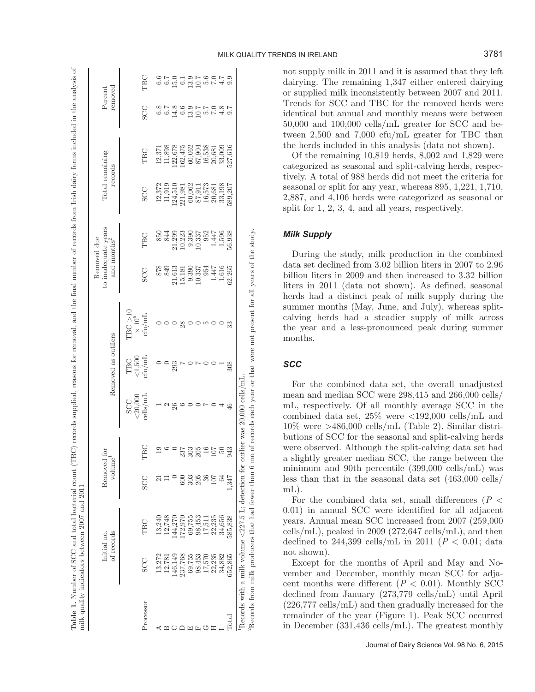| ¢<br>ō                                                                                                                            |                    |
|-----------------------------------------------------------------------------------------------------------------------------------|--------------------|
| くりく                                                                                                                               |                    |
|                                                                                                                                   |                    |
|                                                                                                                                   |                    |
|                                                                                                                                   |                    |
|                                                                                                                                   |                    |
|                                                                                                                                   |                    |
| and and                                                                                                                           |                    |
|                                                                                                                                   |                    |
| i                                                                                                                                 |                    |
| J<br>mar new                                                                                                                      |                    |
| $\frac{1}{2}$                                                                                                                     |                    |
|                                                                                                                                   |                    |
| i                                                                                                                                 |                    |
| l                                                                                                                                 |                    |
| .<br>Contractor<br>$\begin{array}{c}\n1 \\ 1 \\ 2\n\end{array}$                                                                   |                    |
|                                                                                                                                   |                    |
|                                                                                                                                   |                    |
| $\ddot{\cdot}$<br>money and so seemed<br>֖֖֖֖֖֖֖֖֖֖֖֧֖֧֖֧֪֧֖֧֪֪֪֪֪֧֪֪֪֪֪֪֪֪֪֪֪֪֪֪֪֪֧֚֚֚֚֚֚֚֚֚֚֚֚֚֚֚֚֚֚֚֚֚֚֚֚֚֚֬֝֓֬֓֞֓֞֝֬֓֞֝֬<br>l |                    |
| ;                                                                                                                                 |                    |
|                                                                                                                                   |                    |
| Ï                                                                                                                                 |                    |
| ł                                                                                                                                 |                    |
| I<br> <br>                                                                                                                        |                    |
|                                                                                                                                   |                    |
| $\overline{a}$                                                                                                                    |                    |
| i<br>i                                                                                                                            |                    |
| j                                                                                                                                 |                    |
|                                                                                                                                   |                    |
| an only the second in .                                                                                                           |                    |
|                                                                                                                                   |                    |
| ê                                                                                                                                 |                    |
| F<br>C<br>É                                                                                                                       |                    |
|                                                                                                                                   |                    |
|                                                                                                                                   |                    |
| nus<br>.                                                                                                                          |                    |
| <b>TO FOR BOOT</b>                                                                                                                |                    |
|                                                                                                                                   |                    |
|                                                                                                                                   |                    |
|                                                                                                                                   |                    |
|                                                                                                                                   |                    |
|                                                                                                                                   |                    |
|                                                                                                                                   |                    |
|                                                                                                                                   |                    |
| S<br>C<br>C                                                                                                                       |                    |
| j                                                                                                                                 |                    |
| ا<br>آ                                                                                                                            |                    |
| i<br>i                                                                                                                            |                    |
| ł<br>l                                                                                                                            |                    |
| Contains and<br>ś                                                                                                                 |                    |
| į                                                                                                                                 |                    |
| i<br>ī                                                                                                                            |                    |
| Ï                                                                                                                                 |                    |
| こくへい<br>î<br>ı                                                                                                                    |                    |
| Ì                                                                                                                                 |                    |
| $\frac{1}{2}$<br>l                                                                                                                |                    |
| ׇ֚֘֡                                                                                                                              |                    |
|                                                                                                                                   |                    |
|                                                                                                                                   |                    |
|                                                                                                                                   |                    |
|                                                                                                                                   | $\frac{1}{2}$<br>I |
|                                                                                                                                   |                    |
|                                                                                                                                   |                    |
|                                                                                                                                   | l                  |
| j<br>j                                                                                                                            | ¢                  |
|                                                                                                                                   |                    |
|                                                                                                                                   |                    |
|                                                                                                                                   |                    |
|                                                                                                                                   |                    |
|                                                                                                                                   |                    |
|                                                                                                                                   | ĺ                  |
|                                                                                                                                   |                    |
|                                                                                                                                   |                    |
|                                                                                                                                   |                    |
|                                                                                                                                   |                    |
|                                                                                                                                   |                    |
|                                                                                                                                   |                    |
| j<br>j                                                                                                                            | Ц                  |

|                |            | of records<br>Initial no.                             | Removed for<br>volume |         |                                                                                                  | Removed as outliers                                                               |                                                                           |                                                          | to inadequate years<br>Removed due<br>and months <sup>2</sup> | Total remaining<br>records |                                                                                 | removed<br>Percent                   |     |
|----------------|------------|-------------------------------------------------------|-----------------------|---------|--------------------------------------------------------------------------------------------------|-----------------------------------------------------------------------------------|---------------------------------------------------------------------------|----------------------------------------------------------|---------------------------------------------------------------|----------------------------|---------------------------------------------------------------------------------|--------------------------------------|-----|
| Processor      | <b>SCC</b> | TBC                                                   | <b>SCC</b>            | TBC     | ${<}20,\!000$ cells/mL<br>SCC                                                                    | $\begin{array}{c} \mathrm{TBC} \\ < 1,500 \\ \mathrm{ch}/\mathrm{mL} \end{array}$ | TBC > 10<br>$\times~10^6$ cfu/mL                                          | <b>SCC</b>                                               | TBC                                                           | <b>SCC</b>                 | TBC                                                                             | <b>SCC</b>                           | TBC |
|                | 13,272     | 13,240                                                |                       |         |                                                                                                  |                                                                                   |                                                                           | 878                                                      | 850                                                           |                            | 12,371                                                                          |                                      |     |
|                | 12,781     | 12,748                                                |                       |         | ¢<br>J                                                                                           |                                                                                   |                                                                           | 849                                                      | 844                                                           | $12,372$<br>$11,919$       | 11,898                                                                          |                                      |     |
|                | 146,149    | 44,270                                                |                       |         | 26                                                                                               | 293                                                                               |                                                                           |                                                          |                                                               | 124,510                    |                                                                                 | 5 7 8 9 9 9 7 7<br>8 9 9 9 9 9 9 9 9 |     |
|                | 237,768    | 72,970                                                |                       | 237     |                                                                                                  |                                                                                   | 28                                                                        | $\begin{array}{c} 21,613 \\ 15,181 \\ 9,390 \end{array}$ | $\begin{array}{c} 21,299 \\ 10,223 \\ 9,390 \end{array}$      | 221,981                    | $\begin{array}{c} 122,678 \\ 162,475 \\ 60,062 \\ 87,904 \\ 16,538 \end{array}$ |                                      |     |
|                | 69,755     | 69,755                                                | 303                   | 303     |                                                                                                  |                                                                                   |                                                                           |                                                          |                                                               |                            |                                                                                 |                                      |     |
|                | 98,453     | 98,453                                                | 205                   | 205     |                                                                                                  |                                                                                   |                                                                           |                                                          | 10,337                                                        | $\frac{60,062}{87,911}$    |                                                                                 |                                      |     |
|                | 17,570     | 17,511                                                |                       |         |                                                                                                  |                                                                                   |                                                                           | 10,337<br>954                                            | 952                                                           | 16,573                     |                                                                                 |                                      |     |
|                | 22,235     | 22,235                                                |                       |         |                                                                                                  |                                                                                   |                                                                           |                                                          | $1,447$<br>$1,596$                                            |                            | 20,681                                                                          | 0.7                                  | 0.7 |
|                | 34,882     | 34,656                                                |                       |         |                                                                                                  |                                                                                   |                                                                           | $1,447$<br>$1,616$                                       |                                                               | 20,681<br>33,198           | 33,009                                                                          |                                      |     |
| $_{\rm Total}$ | 652,865    | 585,838                                               | 1.347                 | 43<br>Ó |                                                                                                  | 308                                                                               | 33                                                                        | 32,265                                                   | 56,938                                                        | 589,207                    | 527,616                                                                         |                                      |     |
|                |            | Records from milk producers that had fewer than 6 mo- |                       |         | Records with a milk volume $\langle 227.5 \rangle$ L; detection for outlier was 20,000 cells/mL. |                                                                                   | of records each year or that were not present for all years of the study. |                                                          |                                                               |                            |                                                                                 |                                      |     |

not supply milk in 2011 and it is assumed that they left dairying. The remaining 1,347 either entered dairying or supplied milk inconsistently between 2007 and 2011. Trends for SCC and TBC for the removed herds were identical but annual and monthly means were between 50,000 and 100,000 cells/mL greater for SCC and between 2,500 and 7,000 cfu/mL greater for TBC than the herds included in this analysis (data not shown).

Of the remaining 10,819 herds, 8,002 and 1,829 were categorized as seasonal and split-calving herds, respectively. A total of 988 herds did not meet the criteria for seasonal or split for any year, whereas 895, 1,221, 1,710, 2,887, and 4,106 herds were categorized as seasonal or split for 1, 2, 3, 4, and all years, respectively.

## *Milk Supply*

During the study, milk production in the combined data set declined from 3.02 billion liters in 2007 to 2.96 billion liters in 2009 and then increased to 3.32 billion liters in 2011 (data not shown). As defined, seasonal herds had a distinct peak of milk supply during the summer months (May, June, and July), whereas splitcalving herds had a steadier supply of milk across the year and a less-pronounced peak during summer months.

## *SCC*

> For the combined data set, the overall unadjusted mean and median SCC were 298,415 and 266,000 cells/ mL, respectively. Of all monthly average SCC in the combined data set, 25% were <192,000 cells/mL and  $10\%$  were  $>486,000$  cells/mL (Table 2). Similar distributions of SCC for the seasonal and split-calving herds were observed. Although the split-calving data set had a slightly greater median SCC, the range between the minimum and 90th percentile (399,000 cells/mL) was less than that in the seasonal data set (463,000 cells/ mL).

> For the combined data set, small differences (*P* < 0.01) in annual SCC were identified for all adjacent years. Annual mean SCC increased from 2007 (259,000 cells/mL), peaked in 2009 (272,647 cells/mL), and then declined to 244,399 cells/mL in 2011 ( $P < 0.01$ ; data not shown).

> Except for the months of April and May and November and December, monthly mean SCC for adjacent months were different  $(P < 0.01)$ . Monthly SCC declined from January (273,779 cells/mL) until April (226,777 cells/mL) and then gradually increased for the remainder of the year (Figure 1). Peak SCC occurred in December (331,436 cells/mL). The greatest monthly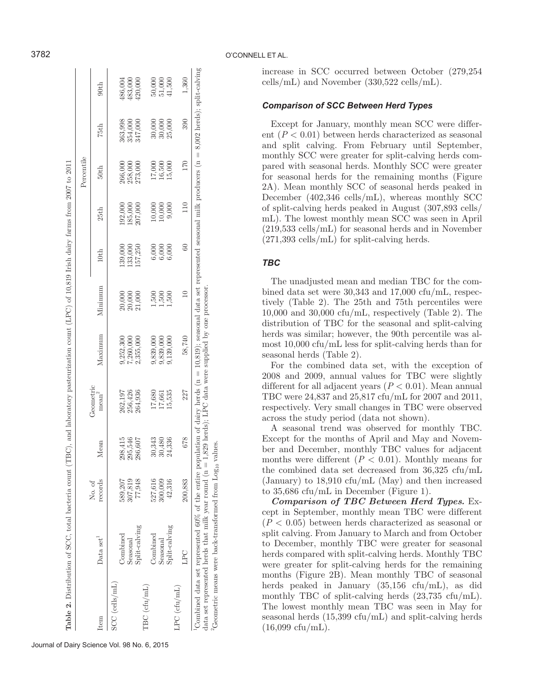| 3782                                                                                                                                              |            |                                |                  |                                                           |                           |                |                                                           |                      |               |                 |         |                                                                                                                                                                                                                                                                                                                                                         |  | O'CONNELL ET AL.<br>increas                                                                            |
|---------------------------------------------------------------------------------------------------------------------------------------------------|------------|--------------------------------|------------------|-----------------------------------------------------------|---------------------------|----------------|-----------------------------------------------------------|----------------------|---------------|-----------------|---------|---------------------------------------------------------------------------------------------------------------------------------------------------------------------------------------------------------------------------------------------------------------------------------------------------------------------------------------------------------|--|--------------------------------------------------------------------------------------------------------|
|                                                                                                                                                   |            | 90th                           |                  | 486,004<br>483,000                                        | 420,000                   |                | $\begin{array}{c} 50,000 \\ 51,000 \\ 41,500 \end{array}$ |                      |               |                 | 1,360   |                                                                                                                                                                                                                                                                                                                                                         |  | $\text{cells}/\text{n}$<br>Comp                                                                        |
|                                                                                                                                                   |            | 75th                           |                  | 363,998<br>354,000                                        | 347,000                   |                | $\begin{array}{c} 30,000 \\ 30,000 \\ 25,000 \end{array}$ |                      |               |                 | 390     | 8,002 herds); split-calving                                                                                                                                                                                                                                                                                                                             |  | Exce<br>(P)<br>$\rm ent$<br>and                                                                        |
|                                                                                                                                                   | Percentile | 50th                           |                  | 266,000<br>258,000                                        | 273,000                   |                | $\begin{array}{c} 17,000 \\ 16,500 \\ 15,000 \end{array}$ |                      |               | 170             |         |                                                                                                                                                                                                                                                                                                                                                         |  | month<br>pared<br>for sea<br>2A). N                                                                    |
|                                                                                                                                                   |            | 25th                           |                  | $\frac{192,000}{185,000}$<br>$\frac{185,000}{207,000}$    |                           |                | $10,000$<br>$10,000$                                      |                      | 9,000         | $110$           |         |                                                                                                                                                                                                                                                                                                                                                         |  | Decem<br>of spli<br>$mL$ ). $\lceil$                                                                   |
|                                                                                                                                                   |            | 10th                           |                  | $139,000$<br>$133,000$<br>$157,250$                       |                           |                | $6,000$<br>$6,000$<br>$6,000$                             |                      |               | 60              |         |                                                                                                                                                                                                                                                                                                                                                         |  | $\overset{(219,5)}{(271,3)}$<br><b>TBC</b>                                                             |
|                                                                                                                                                   |            | Minimum                        |                  | $\begin{array}{c} 20,000 \\ 20,000 \\ 21,000 \end{array}$ |                           |                | $\frac{1,500}{1,500}$                                     |                      |               | $\overline{10}$ |         |                                                                                                                                                                                                                                                                                                                                                         |  | The<br>bined<br>tively<br>10,000                                                                       |
|                                                                                                                                                   |            | Maximum                        |                  | $9,252,300$<br>$7,260,000$                                | 2,355,000                 |                | 9,839,000                                                 | 9,839,000            | 9,139,000     |                 | 58,740  |                                                                                                                                                                                                                                                                                                                                                         |  | distrib<br>herds<br>most 1<br>season<br>For                                                            |
|                                                                                                                                                   |            | Geometric<br>mean <sup>2</sup> |                  | 262,197<br>256,426                                        | 264,936                   |                | 17,680                                                    | $17,661$<br>$15,535$ |               | 227             |         |                                                                                                                                                                                                                                                                                                                                                         |  | $2008$ 8<br>differe<br>TBC <sub>v</sub><br>respec<br>across                                            |
|                                                                                                                                                   |            | Mean                           |                  | 298,415<br>295,546<br>286,607                             |                           |                | $\begin{array}{c} 30,343 \\ 30,480 \\ 24,336 \end{array}$ |                      |               | 678             |         |                                                                                                                                                                                                                                                                                                                                                         |  | A<br>$\begin{array}{ll}\n\text{Except} \\ \text{ber an}\n\end{array}$<br>month                         |
|                                                                                                                                                   |            | records<br>No. of              |                  | 589,207<br>307,819                                        | 77,948                    |                | 527,616                                                   | 300,009              | 42,316        |                 | 200,883 |                                                                                                                                                                                                                                                                                                                                                         |  |                                                                                                        |
|                                                                                                                                                   |            | Data set <sup>1</sup>          |                  | Combined                                                  | Split-calving<br>Seasonal |                | Combined                                                  | Seasonal             | Split-calving | LPC             |         |                                                                                                                                                                                                                                                                                                                                                         |  | the co $($ Janua<br>to 35,6<br>$C$ or cept in $(P < 0$<br>split ca be been<br>to Decherds of<br>were g |
| Table 2. Distribution of SCC, total bacteria count (TBC), and laboratory pasteurization count (LPC) of 10,819 Irish dairy farms from 2007 to 2011 |            | Item                           | $SCC$ (cells/mL) |                                                           |                           | $TBC$ (cfu/mL) |                                                           |                      |               | $LPC$ (cfu/mL)  |         | Combined data set represented 60% of the entire population of dairy herds ( $n = 10,819$ ); seasonal data set represented seasonal milk producers ( $n =$<br>data set represented herds that milk year round $(n = 1,829$ herds); LPC data were supplied by one processor<br><sup>2</sup> Geometric means were back-transformed from $Log_{10}$ values. |  | month<br>herds<br>$\frac{1}{\text{month}}$<br>The Iceason<br>$(16,09)$                                 |

increase in SCC occurred between October (279,254 cells/mL) and November (330,522 cells/mL).

## *Comparison of SCC Between Herd Types*

Except for January, monthly mean SCC were different (*P* < 0.01) between herds characterized as seasonal and split calving. From February until September, monthly SCC were greater for split-calving herds compared with seasonal herds. Monthly SCC were greater for seasonal herds for the remaining months (Figure 2A). Mean monthly SCC of seasonal herds peaked in December (402,346 cells/mL), whereas monthly SCC of split-calving herds peaked in August (307,893 cells/ mL). The lowest monthly mean SCC was seen in April (219,533 cells/mL) for seasonal herds and in November (271,393 cells/mL) for split-calving herds.

## *TBC*

The unadjusted mean and median TBC for the combined data set were 30,343 and 17,000 cfu/mL, respectively (Table 2). The 25th and 75th percentiles were 10,000 and 30,000 cfu/mL, respectively (Table 2). The distribution of TBC for the seasonal and split-calving herds was similar; however, the 90th percentile was almost 10,000 cfu/mL less for split-calving herds than for seasonal herds (Table 2).

For the combined data set, with the exception of 2008 and 2009, annual values for TBC were slightly different for all adjacent years  $(P < 0.01)$ . Mean annual TBC were 24,837 and 25,817 cfu/mL for 2007 and 2011, respectively. Very small changes in TBC were observed across the study period (data not shown).

A seasonal trend was observed for monthly TBC. Except for the months of April and May and November and December, monthly TBC values for adjacent months were different  $(P < 0.01)$ . Monthly means for the combined data set decreased from 36,325 cfu/mL (January) to 18,910 cfu/mL (May) and then increased to 35,686 cfu/mL in December (Figure 1).

*Comparison of TBC Between Herd Types.* Except in September, monthly mean TBC were different (*P* < 0.05) between herds characterized as seasonal or split calving. From January to March and from October to December, monthly TBC were greater for seasonal herds compared with split-calving herds. Monthly TBC were greater for split-calving herds for the remaining months (Figure 2B). Mean monthly TBC of seasonal herds peaked in January (35,156 cfu/mL), as did monthly TBC of split-calving herds (23,735 cfu/mL). The lowest monthly mean TBC was seen in May for seasonal herds (15,399 cfu/mL) and split-calving herds  $(16,099 \text{ cftu/mL}).$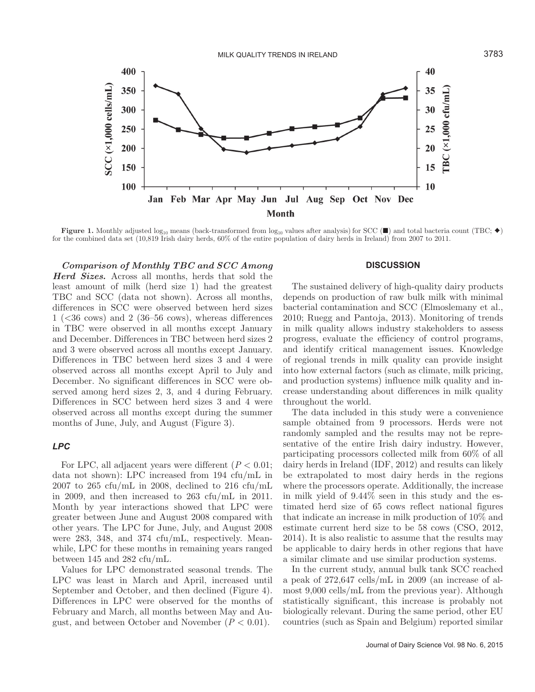

**Figure 1.** Monthly adjusted log<sub>10</sub> means (back-transformed from log<sub>10</sub> values after analysis) for SCC ( $\blacksquare$ ) and total bacteria count (TBC;  $\blacklozenge$ ) for the combined data set (10,819 Irish dairy herds, 60% of the entire population of dairy herds in Ireland) from 2007 to 2011.

*Comparison of Monthly TBC and SCC Among* 

*Herd Sizes.* Across all months, herds that sold the least amount of milk (herd size 1) had the greatest TBC and SCC (data not shown). Across all months, differences in SCC were observed between herd sizes  $1$  ( $\leq$ 36 cows) and 2 (36–56 cows), whereas differences in TBC were observed in all months except January and December. Differences in TBC between herd sizes 2 and 3 were observed across all months except January. Differences in TBC between herd sizes 3 and 4 were observed across all months except April to July and December. No significant differences in SCC were observed among herd sizes 2, 3, and 4 during February. Differences in SCC between herd sizes 3 and 4 were observed across all months except during the summer months of June, July, and August (Figure 3).

## *LPC*

For LPC, all adjacent years were different  $(P < 0.01;$ data not shown): LPC increased from 194 cfu/mL in 2007 to 265 cfu/mL in 2008, declined to 216 cfu/mL in 2009, and then increased to 263 cfu/mL in 2011. Month by year interactions showed that LPC were greater between June and August 2008 compared with other years. The LPC for June, July, and August 2008 were 283, 348, and 374 cfu/mL, respectively. Meanwhile, LPC for these months in remaining years ranged between 145 and 282 cfu/mL.

Values for LPC demonstrated seasonal trends. The LPC was least in March and April, increased until September and October, and then declined (Figure 4). Differences in LPC were observed for the months of February and March, all months between May and August, and between October and November  $(P < 0.01)$ .

#### **DISCUSSION**

The sustained delivery of high-quality dairy products depends on production of raw bulk milk with minimal bacterial contamination and SCC (Elmoslemany et al., 2010; Ruegg and Pantoja, 2013). Monitoring of trends in milk quality allows industry stakeholders to assess progress, evaluate the efficiency of control programs, and identify critical management issues. Knowledge of regional trends in milk quality can provide insight into how external factors (such as climate, milk pricing, and production systems) influence milk quality and increase understanding about differences in milk quality throughout the world.

The data included in this study were a convenience sample obtained from 9 processors. Herds were not randomly sampled and the results may not be representative of the entire Irish dairy industry. However, participating processors collected milk from 60% of all dairy herds in Ireland (IDF, 2012) and results can likely be extrapolated to most dairy herds in the regions where the processors operate. Additionally, the increase in milk yield of 9.44% seen in this study and the estimated herd size of 65 cows reflect national figures that indicate an increase in milk production of 10% and estimate current herd size to be 58 cows (CSO, 2012, 2014). It is also realistic to assume that the results may be applicable to dairy herds in other regions that have a similar climate and use similar production systems.

In the current study, annual bulk tank SCC reached a peak of 272,647 cells/mL in 2009 (an increase of almost 9,000 cells/mL from the previous year). Although statistically significant, this increase is probably not biologically relevant. During the same period, other EU countries (such as Spain and Belgium) reported similar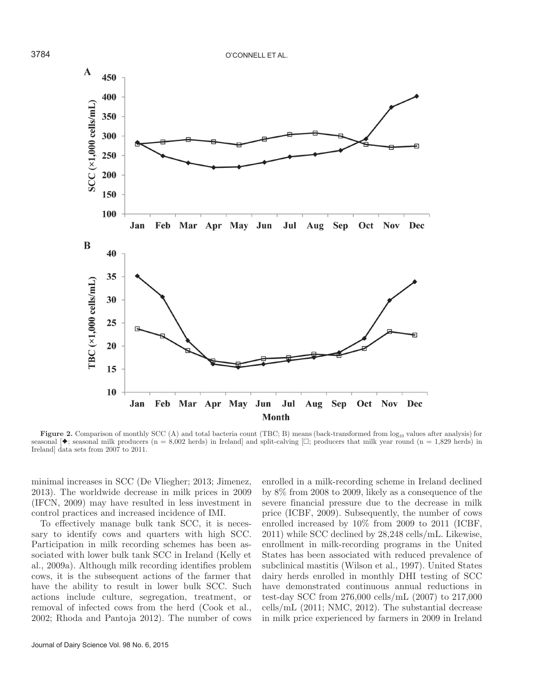

**Figure 2.** Comparison of monthly SCC (A) and total bacteria count (TBC; B) means (back-transformed from  $log_{10}$  values after analysis) for seasonal  $\blacklozenge$ ; seasonal milk producers (n = 8,002 herds) in Ireland and split-calving  $\Box$ ; producers that milk year round (n = 1,829 herds) in Ireland] data sets from 2007 to 2011.

minimal increases in SCC (De Vliegher; 2013; Jimenez, 2013). The worldwide decrease in milk prices in 2009 (IFCN, 2009) may have resulted in less investment in control practices and increased incidence of IMI.

To effectively manage bulk tank SCC, it is necessary to identify cows and quarters with high SCC. Participation in milk recording schemes has been associated with lower bulk tank SCC in Ireland (Kelly et al., 2009a). Although milk recording identifies problem cows, it is the subsequent actions of the farmer that have the ability to result in lower bulk SCC. Such actions include culture, segregation, treatment, or removal of infected cows from the herd (Cook et al., 2002; Rhoda and Pantoja 2012). The number of cows enrolled in a milk-recording scheme in Ireland declined by 8% from 2008 to 2009, likely as a consequence of the severe financial pressure due to the decrease in milk price (ICBF, 2009). Subsequently, the number of cows enrolled increased by 10% from 2009 to 2011 (ICBF, 2011) while SCC declined by 28,248 cells/mL. Likewise, enrollment in milk-recording programs in the United States has been associated with reduced prevalence of subclinical mastitis (Wilson et al., 1997). United States dairy herds enrolled in monthly DHI testing of SCC have demonstrated continuous annual reductions in test-day SCC from 276,000 cells/mL (2007) to 217,000 cells/mL (2011; NMC, 2012). The substantial decrease in milk price experienced by farmers in 2009 in Ireland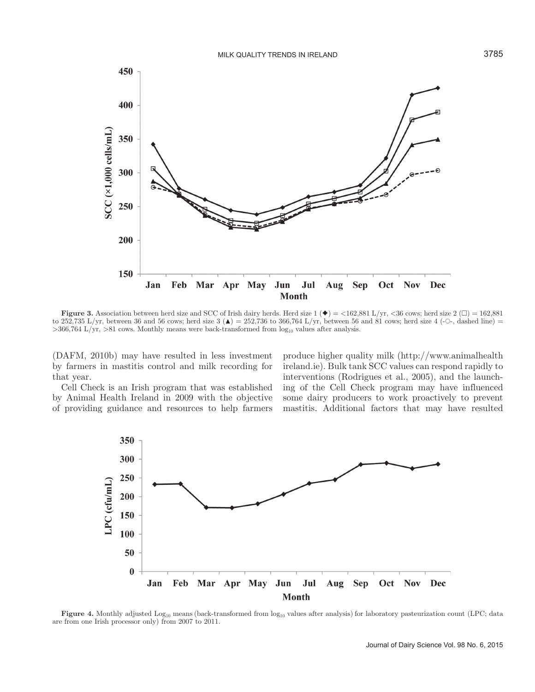

**Figure 3.** Association between herd size and SCC of Irish dairy herds. Herd size  $1(\blacklozenge) = \langle 162, 881 \text{ L/yr}, \langle 36 \text{ cows}; \rangle$  herd size  $2 (\square) = 162, 881$ to 252,735 L/yr, between 36 and 56 cows; herd size  $3(\triangle) = 252,736$  to 366,764 L/yr, between 56 and 81 cows; herd size 4 (- $\circ$ -, dashed line) =  $>366,764$  L/yr,  $>81$  cows. Monthly means were back-transformed from  $log_{10}$  values after analysis.

(DAFM, 2010b) may have resulted in less investment by farmers in mastitis control and milk recording for that year.

Cell Check is an Irish program that was established by Animal Health Ireland in 2009 with the objective of providing guidance and resources to help farmers

produce higher quality milk (http://www.animalhealth ireland.ie). Bulk tank SCC values can respond rapidly to interventions (Rodrigues et al., 2005), and the launching of the Cell Check program may have influenced some dairy producers to work proactively to prevent mastitis. Additional factors that may have resulted



**Figure 4.** Monthly adjusted Log<sub>10</sub> means (back-transformed from log<sub>10</sub> values after analysis) for laboratory pasteurization count (LPC; data are from one Irish processor only) from 2007 to 2011.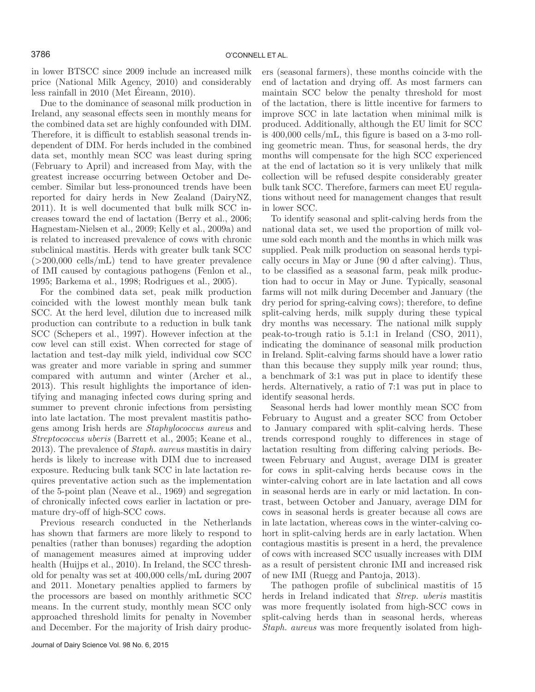in lower BTSCC since 2009 include an increased milk price (National Milk Agency, 2010) and considerably less rainfall in 2010 (Met Éireann, 2010).

Due to the dominance of seasonal milk production in Ireland, any seasonal effects seen in monthly means for the combined data set are highly confounded with DIM. Therefore, it is difficult to establish seasonal trends independent of DIM. For herds included in the combined data set, monthly mean SCC was least during spring (February to April) and increased from May, with the greatest increase occurring between October and December. Similar but less-pronounced trends have been reported for dairy herds in New Zealand (DairyNZ, 2011). It is well documented that bulk milk SCC increases toward the end of lactation (Berry et al., 2006; Hagnestam-Nielsen et al., 2009; Kelly et al., 2009a) and is related to increased prevalence of cows with chronic subclinical mastitis. Herds with greater bulk tank SCC  $(>200,000 \text{ cells/mL})$  tend to have greater prevalence of IMI caused by contagious pathogens (Fenlon et al., 1995; Barkema et al., 1998; Rodrigues et al., 2005).

For the combined data set, peak milk production coincided with the lowest monthly mean bulk tank SCC. At the herd level, dilution due to increased milk production can contribute to a reduction in bulk tank SCC (Schepers et al., 1997). However infection at the cow level can still exist. When corrected for stage of lactation and test-day milk yield, individual cow SCC was greater and more variable in spring and summer compared with autumn and winter (Archer et al., 2013). This result highlights the importance of identifying and managing infected cows during spring and summer to prevent chronic infections from persisting into late lactation. The most prevalent mastitis pathogens among Irish herds are *Staphylococcus aureus* and *Streptococcus uberis* (Barrett et al., 2005; Keane et al., 2013). The prevalence of *Staph. aureus* mastitis in dairy herds is likely to increase with DIM due to increased exposure. Reducing bulk tank SCC in late lactation requires preventative action such as the implementation of the 5-point plan (Neave et al., 1969) and segregation of chronically infected cows earlier in lactation or premature dry-off of high-SCC cows.

Previous research conducted in the Netherlands has shown that farmers are more likely to respond to penalties (rather than bonuses) regarding the adoption of management measures aimed at improving udder health (Huijps et al., 2010). In Ireland, the SCC threshold for penalty was set at 400,000 cells/mL during 2007 and 2011. Monetary penalties applied to farmers by the processors are based on monthly arithmetic SCC means. In the current study, monthly mean SCC only approached threshold limits for penalty in November and December. For the majority of Irish dairy produc-

Journal of Dairy Science Vol. 98 No. 6, 2015

ers (seasonal farmers), these months coincide with the end of lactation and drying off. As most farmers can maintain SCC below the penalty threshold for most of the lactation, there is little incentive for farmers to improve SCC in late lactation when minimal milk is produced. Additionally, although the EU limit for SCC is 400,000 cells/mL, this figure is based on a 3-mo rolling geometric mean. Thus, for seasonal herds, the dry months will compensate for the high SCC experienced at the end of lactation so it is very unlikely that milk collection will be refused despite considerably greater bulk tank SCC. Therefore, farmers can meet EU regulations without need for management changes that result in lower SCC.

To identify seasonal and split-calving herds from the national data set, we used the proportion of milk volume sold each month and the months in which milk was supplied. Peak milk production on seasonal herds typically occurs in May or June (90 d after calving). Thus, to be classified as a seasonal farm, peak milk production had to occur in May or June. Typically, seasonal farms will not milk during December and January (the dry period for spring-calving cows); therefore, to define split-calving herds, milk supply during these typical dry months was necessary. The national milk supply peak-to-trough ratio is 5.1:1 in Ireland (CSO, 2011), indicating the dominance of seasonal milk production in Ireland. Split-calving farms should have a lower ratio than this because they supply milk year round; thus, a benchmark of 3:1 was put in place to identify these herds. Alternatively, a ratio of 7:1 was put in place to identify seasonal herds.

Seasonal herds had lower monthly mean SCC from February to August and a greater SCC from October to January compared with split-calving herds. These trends correspond roughly to differences in stage of lactation resulting from differing calving periods. Between February and August, average DIM is greater for cows in split-calving herds because cows in the winter-calving cohort are in late lactation and all cows in seasonal herds are in early or mid lactation. In contrast, between October and January, average DIM for cows in seasonal herds is greater because all cows are in late lactation, whereas cows in the winter-calving cohort in split-calving herds are in early lactation. When contagious mastitis is present in a herd, the prevalence of cows with increased SCC usually increases with DIM as a result of persistent chronic IMI and increased risk of new IMI (Ruegg and Pantoja, 2013).

The pathogen profile of subclinical mastitis of 15 herds in Ireland indicated that *Strep. uberis* mastitis was more frequently isolated from high-SCC cows in split-calving herds than in seasonal herds, whereas *Staph. aureus* was more frequently isolated from high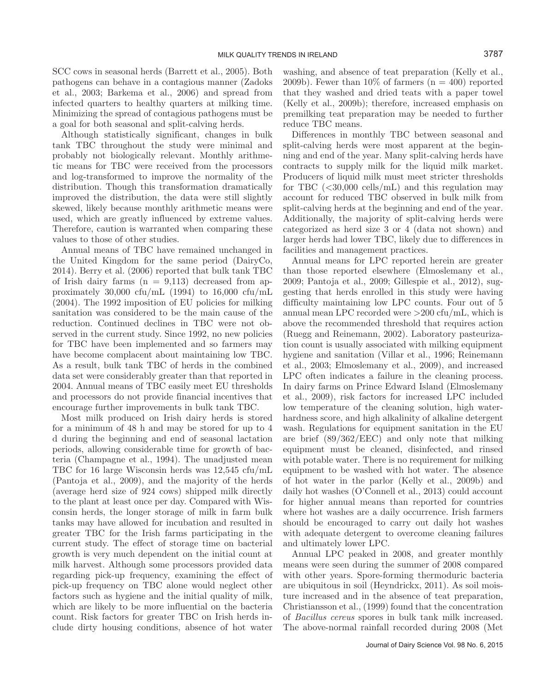SCC cows in seasonal herds (Barrett et al., 2005). Both pathogens can behave in a contagious manner (Zadoks et al., 2003; Barkema et al., 2006) and spread from infected quarters to healthy quarters at milking time. Minimizing the spread of contagious pathogens must be a goal for both seasonal and split-calving herds.

Although statistically significant, changes in bulk tank TBC throughout the study were minimal and probably not biologically relevant. Monthly arithmetic means for TBC were received from the processors and log-transformed to improve the normality of the distribution. Though this transformation dramatically improved the distribution, the data were still slightly skewed, likely because monthly arithmetic means were used, which are greatly influenced by extreme values. Therefore, caution is warranted when comparing these values to those of other studies.

Annual means of TBC have remained unchanged in the United Kingdom for the same period (DairyCo, 2014). Berry et al. (2006) reported that bulk tank TBC of Irish dairy farms  $(n = 9,113)$  decreased from approximately 30,000 cfu/mL  $(1994)$  to 16,000 cfu/mL (2004). The 1992 imposition of EU policies for milking sanitation was considered to be the main cause of the reduction. Continued declines in TBC were not observed in the current study. Since 1992, no new policies for TBC have been implemented and so farmers may have become complacent about maintaining low TBC. As a result, bulk tank TBC of herds in the combined data set were considerably greater than that reported in 2004. Annual means of TBC easily meet EU thresholds and processors do not provide financial incentives that encourage further improvements in bulk tank TBC.

Most milk produced on Irish dairy herds is stored for a minimum of 48 h and may be stored for up to 4 d during the beginning and end of seasonal lactation periods, allowing considerable time for growth of bacteria (Champagne et al., 1994). The unadjusted mean TBC for 16 large Wisconsin herds was 12,545 cfu/mL (Pantoja et al., 2009), and the majority of the herds (average herd size of 924 cows) shipped milk directly to the plant at least once per day. Compared with Wisconsin herds, the longer storage of milk in farm bulk tanks may have allowed for incubation and resulted in greater TBC for the Irish farms participating in the current study. The effect of storage time on bacterial growth is very much dependent on the initial count at milk harvest. Although some processors provided data regarding pick-up frequency, examining the effect of pick-up frequency on TBC alone would neglect other factors such as hygiene and the initial quality of milk, which are likely to be more influential on the bacteria count. Risk factors for greater TBC on Irish herds include dirty housing conditions, absence of hot water washing, and absence of teat preparation (Kelly et al., 2009b). Fewer than  $10\%$  of farmers (n = 400) reported that they washed and dried teats with a paper towel (Kelly et al., 2009b); therefore, increased emphasis on premilking teat preparation may be needed to further reduce TBC means.

Differences in monthly TBC between seasonal and split-calving herds were most apparent at the beginning and end of the year. Many split-calving herds have contracts to supply milk for the liquid milk market. Producers of liquid milk must meet stricter thresholds for TBC  $\langle$  <30,000 cells/mL) and this regulation may account for reduced TBC observed in bulk milk from split-calving herds at the beginning and end of the year. Additionally, the majority of split-calving herds were categorized as herd size 3 or 4 (data not shown) and larger herds had lower TBC, likely due to differences in facilities and management practices.

Annual means for LPC reported herein are greater than those reported elsewhere (Elmoslemany et al., 2009; Pantoja et al., 2009; Gillespie et al., 2012), suggesting that herds enrolled in this study were having difficulty maintaining low LPC counts. Four out of 5 annual mean LPC recorded were  $>200$  cfu/mL, which is above the recommended threshold that requires action (Ruegg and Reinemann, 2002). Laboratory pasteurization count is usually associated with milking equipment hygiene and sanitation (Villar et al., 1996; Reinemann et al., 2003; Elmoslemany et al., 2009), and increased LPC often indicates a failure in the cleaning process. In dairy farms on Prince Edward Island (Elmoslemany et al., 2009), risk factors for increased LPC included low temperature of the cleaning solution, high waterhardness score, and high alkalinity of alkaline detergent wash. Regulations for equipment sanitation in the EU are brief (89/362/EEC) and only note that milking equipment must be cleaned, disinfected, and rinsed with potable water. There is no requirement for milking equipment to be washed with hot water. The absence of hot water in the parlor (Kelly et al., 2009b) and daily hot washes (O'Connell et al., 2013) could account for higher annual means than reported for countries where hot washes are a daily occurrence. Irish farmers should be encouraged to carry out daily hot washes with adequate detergent to overcome cleaning failures and ultimately lower LPC.

Annual LPC peaked in 2008, and greater monthly means were seen during the summer of 2008 compared with other years. Spore-forming thermoduric bacteria are ubiquitous in soil (Heyndrickx, 2011). As soil moisture increased and in the absence of teat preparation, Christiansson et al., (1999) found that the concentration of *Bacillus cereus* spores in bulk tank milk increased. The above-normal rainfall recorded during 2008 (Met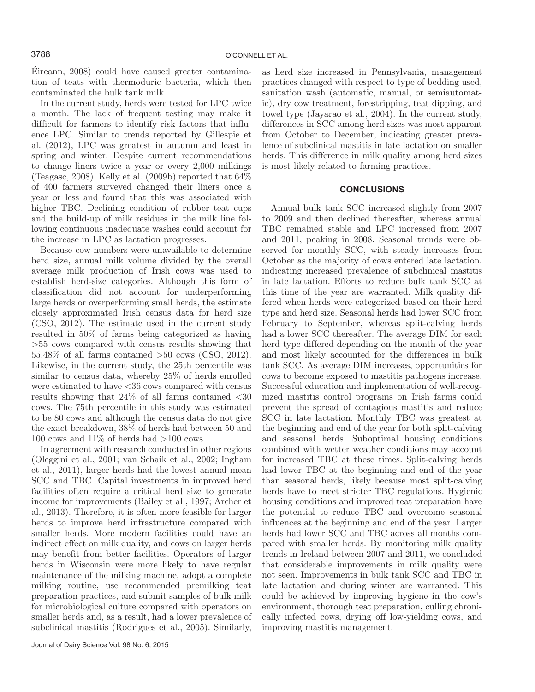Éireann, 2008) could have caused greater contamination of teats with thermoduric bacteria, which then contaminated the bulk tank milk.

In the current study, herds were tested for LPC twice a month. The lack of frequent testing may make it difficult for farmers to identify risk factors that influence LPC. Similar to trends reported by Gillespie et al. (2012), LPC was greatest in autumn and least in spring and winter. Despite current recommendations to change liners twice a year or every 2,000 milkings (Teagasc, 2008), Kelly et al.  $(2009b)$  reported that  $64\%$ of 400 farmers surveyed changed their liners once a year or less and found that this was associated with higher TBC. Declining condition of rubber teat cups and the build-up of milk residues in the milk line following continuous inadequate washes could account for the increase in LPC as lactation progresses.

Because cow numbers were unavailable to determine herd size, annual milk volume divided by the overall average milk production of Irish cows was used to establish herd-size categories. Although this form of classification did not account for underperforming large herds or overperforming small herds, the estimate closely approximated Irish census data for herd size (CSO, 2012). The estimate used in the current study resulted in 50% of farms being categorized as having >55 cows compared with census results showing that 55.48% of all farms contained >50 cows (CSO, 2012). Likewise, in the current study, the 25th percentile was similar to census data, whereby 25% of herds enrolled were estimated to have <36 cows compared with census results showing that  $24\%$  of all farms contained  $\langle 30 \rangle$ cows. The 75th percentile in this study was estimated to be 80 cows and although the census data do not give the exact breakdown, 38% of herds had between 50 and 100 cows and  $11\%$  of herds had  $>100$  cows.

In agreement with research conducted in other regions (Oleggini et al., 2001; van Schaik et al., 2002; Ingham et al., 2011), larger herds had the lowest annual mean SCC and TBC. Capital investments in improved herd facilities often require a critical herd size to generate income for improvements (Bailey et al., 1997; Archer et al., 2013). Therefore, it is often more feasible for larger herds to improve herd infrastructure compared with smaller herds. More modern facilities could have an indirect effect on milk quality, and cows on larger herds may benefit from better facilities. Operators of larger herds in Wisconsin were more likely to have regular maintenance of the milking machine, adopt a complete milking routine, use recommended premilking teat preparation practices, and submit samples of bulk milk for microbiological culture compared with operators on smaller herds and, as a result, had a lower prevalence of subclinical mastitis (Rodrigues et al., 2005). Similarly,

as herd size increased in Pennsylvania, management practices changed with respect to type of bedding used, sanitation wash (automatic, manual, or semiautomatic), dry cow treatment, forestripping, teat dipping, and towel type (Jayarao et al., 2004). In the current study, differences in SCC among herd sizes was most apparent from October to December, indicating greater prevalence of subclinical mastitis in late lactation on smaller herds. This difference in milk quality among herd sizes is most likely related to farming practices.

## **CONCLUSIONS**

Annual bulk tank SCC increased slightly from 2007 to 2009 and then declined thereafter, whereas annual TBC remained stable and LPC increased from 2007 and 2011, peaking in 2008. Seasonal trends were observed for monthly SCC, with steady increases from October as the majority of cows entered late lactation, indicating increased prevalence of subclinical mastitis in late lactation. Efforts to reduce bulk tank SCC at this time of the year are warranted. Milk quality differed when herds were categorized based on their herd type and herd size. Seasonal herds had lower SCC from February to September, whereas split-calving herds had a lower SCC thereafter. The average DIM for each herd type differed depending on the month of the year and most likely accounted for the differences in bulk tank SCC. As average DIM increases, opportunities for cows to become exposed to mastitis pathogens increase. Successful education and implementation of well-recognized mastitis control programs on Irish farms could prevent the spread of contagious mastitis and reduce SCC in late lactation. Monthly TBC was greatest at the beginning and end of the year for both split-calving and seasonal herds. Suboptimal housing conditions combined with wetter weather conditions may account for increased TBC at these times. Split-calving herds had lower TBC at the beginning and end of the year than seasonal herds, likely because most split-calving herds have to meet stricter TBC regulations. Hygienic housing conditions and improved teat preparation have the potential to reduce TBC and overcome seasonal influences at the beginning and end of the year. Larger herds had lower SCC and TBC across all months compared with smaller herds. By monitoring milk quality trends in Ireland between 2007 and 2011, we concluded that considerable improvements in milk quality were not seen. Improvements in bulk tank SCC and TBC in late lactation and during winter are warranted. This could be achieved by improving hygiene in the cow's environment, thorough teat preparation, culling chronically infected cows, drying off low-yielding cows, and improving mastitis management.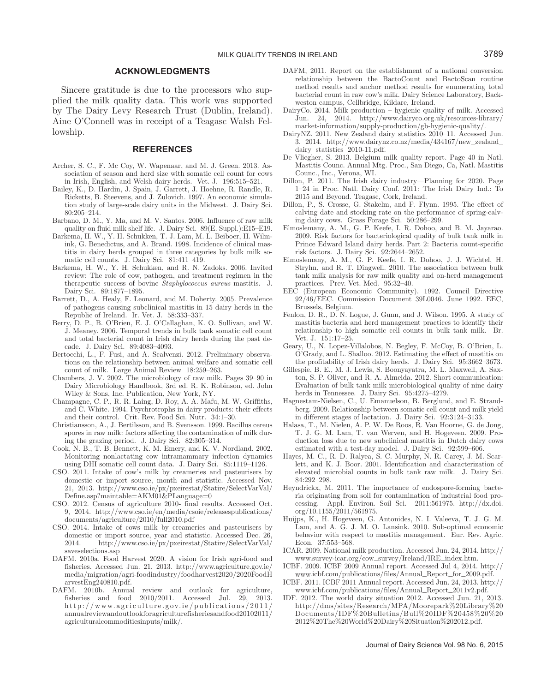## **ACKNOWLEDGMENTS**

Sincere gratitude is due to the processors who supplied the milk quality data. This work was supported by The Dairy Levy Research Trust (Dublin, Ireland). Aine O'Connell was in receipt of a Teagasc Walsh Fellowship.

#### **REFERENCES**

- Archer, S. C., F. Mc Coy, W. Wapenaar, and M. J. Green. 2013. Association of season and herd size with somatic cell count for cows in Irish, English, and Welsh dairy herds. Vet. J. 196:515–521.
- Bailey, K., D. Hardin, J. Spain, J. Garrett, J. Hoehne, R. Randle, R. Ricketts, B. Steevens, and J. Zulovich. 1997. An economic simulation study of large-scale dairy units in the Midwest. J. Dairy Sci. 80:205–214.
- Barbano, D. M., Y. Ma, and M. V. Santos. 2006. Influence of raw milk quality on fluid milk shelf life. J. Dairy Sci. 89(E. Suppl.):E15–E19.
- Barkema, H. W., Y. H. Schukken, T. J. Lam, M. L. Beiboer, H. Wilmink, G. Benedictus, and A. Brand. 1998. Incidence of clinical mastitis in dairy herds grouped in three categories by bulk milk somatic cell counts. J. Dairy Sci. 81:411–419.
- Barkema, H. W., Y. H. Schukken, and R. N. Zadoks. 2006. Invited review: The role of cow, pathogen, and treatment regimen in the therapeutic success of bovine *Staphylococcus aureus* mastitis. J. Dairy Sci. 89:1877–1895.
- Barrett, D., A. Healy, F. Leonard, and M. Doherty. 2005. Prevalence of pathogens causing subclinical mastitis in 15 dairy herds in the Republic of Ireland. Ir. Vet. J. 58:333–337.
- Berry, D. P., B. O'Brien, E. J. O'Callaghan, K. O. Sullivan, and W. J. Meaney. 2006. Temporal trends in bulk tank somatic cell count and total bacterial count in Irish dairy herds during the past decade. J. Dairy Sci. 89:4083–4093.
- Bertocchi, L., F. Fusi, and A. Scalvenzi. 2012. Preliminary observations on the relationship between animal welfare and somatic cell count of milk. Large Animal Review 18:259–263.
- Chambers, J. V. 2002. The microbiology of raw milk. Pages 39–90 in Dairy Microbiology Handbook, 3rd ed. R. K. Robinson, ed. John Wiley & Sons, Inc. Publication, New York, NY.
- Champagne, C. P., R. R. Laing, D. Roy, A. A. Mafu, M. W. Griffiths, and C. White. 1994. Psychrotrophs in dairy products: their effects and their control. Crit. Rev. Food Sci. Nutr. 34:1–30.
- Christiansson, A., J. Bertilsson, and B. Svensson. 1999. Bacillus cereus spores in raw milk: factors affecting the contamination of milk during the grazing period. J. Dairy Sci. 82:305–314.
- Cook, N. B., T. B. Bennett, K. M. Emery, and K. V. Nordland. 2002. Monitoring nonlactating cow intramammary infection dynamics using DHI somatic cell count data. J. Dairy Sci. 85:1119–1126.
- CSO. 2011. Intake of cow's milk by creameries and pasteurisers by domestic or import source, month and statistic. Accessed Nov. 21, 2013. http://www.cso.ie/px/pxeirestat/Statire/SelectVarVal/ Define.asp?maintable=AKM01&PLanguage=0
- CSO. 2012. Census of agriculture 2010- final results. Accessed Oct. 9, 2014. http://www.cso.ie/en/media/csoie/releasespublications/ documents/agriculture/2010/full2010.pdf
- CSO. 2014. Intake of cows milk by creameries and pasteurisers by domestic or import source, year and statistic. Accessed Dec. 26, 2014. http://www.cso.ie/px/pxeirestat/Statire/SelectVarVal/ saveselections.asp
- DAFM. 2010a. Food Harvest 2020. A vision for Irish agri-food and fisheries. Accessed Jun. 21, 2013. http://www.agriculture.gov.ie/ media/migration/agri-foodindustry/foodharvest2020/2020FoodH arvestEng240810.pdf.
- DAFM. 2010b. Annual review and outlook for agriculture, fisheries and food  $2010/2011$ . Accessed Jul.  $29$ ,  $2013$ . http://www.agriculture.gov.ie/publications/2011/ annualreviewandoutlookforagriculturefisheriesandfood20102011/ agriculturalcommoditiesinputs/milk/.
- DAFM, 2011. Report on the establishment of a national conversion relationship between the BactoCount and BactoScan routine method results and anchor method results for enumerating total bacterial count in raw cow's milk. Dairy Science Laboratory, Backweston campus, Cellbridge, Kildare, Ireland.
- DairyCo. 2014. Milk production hygienic quality of milk. Accessed Jun. 24, 2014. http://www.dairyco.org.uk/resources-library/ market-information/supply-production/gb-hygienic-quality/.
- DairyNZ. 2011. New Zealand dairy statistics 2010–11. Accessed Jun. 3, 2014. http://www.dairynz.co.nz/media/434167/new\_zealand\_ dairy\_statistics\_2010-11.pdf.
- De Vliegher, S. 2013. Belgium milk quality report. Page 40 in Natl. Mastitis Counc. Annual Mtg. Proc., San Diego, Ca, Natl. Mastitis Counc., Inc., Verona, WI.
- Dillon, P. 2011. The Irish dairy industry—Planning for 2020. Page 1–24 in Proc. Natl. Dairy Conf. 2011: The Irish Dairy Ind.: To 2015 and Beyond. Teagasc, Cork, Ireland.
- Dillon, P., S. Crosse, G. Stakelm, and F. Flynn. 1995. The effect of calving date and stocking rate on the performance of spring-calving dairy cows. Grass Forage Sci. 50:286–299.
- Elmoslemany, A. M., G. P. Keefe, I. R. Dohoo, and B. M. Jayarao. 2009. Risk factors for bacteriological quality of bulk tank milk in Prince Edward Island dairy herds. Part 2: Bacteria count-specific risk factors. J. Dairy Sci. 92:2644–2652.
- Elmoslemany, A. M., G. P. Keefe, I. R. Dohoo, J. J. Wichtel, H. Stryhn, and R. T. Dingwell. 2010. The association between bulk tank milk analysis for raw milk quality and on-herd management practices. Prev. Vet. Med. 95:32–40.
- EEC (European Economic Community). 1992. Council Directive 92/46/EEC. Commission Document 39L0046. June 1992. EEC, Brussels, Belgium.
- Fenlon, D. R., D. N. Logue, J. Gunn, and J. Wilson. 1995. A study of mastitis bacteria and herd management practices to identify their relationship to high somatic cell counts in bulk tank milk. Br. Vet. J. 151:17–25.
- Geary, U., N. Lopez-Villalobos, N. Begley, F. McCoy, B. O'Brien, L. O'Grady, and L. Shalloo. 2012. Estimating the effect of mastitis on the profitability of Irish dairy herds. J. Dairy Sci. 95:3662–3673.
- Gillespie, B. E., M. J. Lewis, S. Boonyayatra, M. L. Maxwell, A. Saxton, S. P. Oliver, and R. A. Almeida. 2012. Short communication: Evaluation of bulk tank milk microbiological quality of nine dairy herds in Tennessee. J. Dairy Sci. 95:4275–4279.
- Hagnestam-Nielsen, C., U. Emanuelson, B. Berglund, and E. Strandberg. 2009. Relationship between somatic cell count and milk yield in different stages of lactation. J. Dairy Sci. 92:3124–3133.
- Halasa, T., M. Nielen, A. P. W. De Roos, R. Van Hoorne, G. de Jong, T. J. G. M. Lam, T. van Werven, and H. Hogeveen. 2009. Production loss due to new subclinical mastitis in Dutch dairy cows estimated with a test-day model. J. Dairy Sci. 92:599–606.
- Hayes, M. C., R. D. Ralyea, S. C. Murphy, N. R. Carey, J. M. Scarlett, and K. J. Boor. 2001. Identification and characterization of elevated microbial counts in bulk tank raw milk. J. Dairy Sci. 84:292–298.
- Heyndrickx, M. 2011. The importance of endospore-forming bacteria originating from soil for contamination of industrial food processing. Appl. Environ. Soil Sci. 2011:561975. http://dx.doi. org/10.1155/2011/561975.
- Huijps, K., H. Hogeveen, G. Antonides, N. I. Valeeva, T. J. G. M. Lam, and A. G. J. M. O. Lansink. 2010. Sub-optimal economic behavior with respect to mastitis management. Eur. Rev. Agric. Econ. 37:553–568.
- ICAR. 2009. National milk production. Accessed Jun. 24, 2014. http:// www.survey-icar.org/cow\_survey/Ireland/IRE\_index.htm.
- ICBF. 2009. ICBF 2009 Annual report. Accessed Jul 4, 2014. http:// www.icbf.com/publications/files/Annual\_Report\_for\_2009.pdf.
- ICBF. 2011. ICBF 2011 Annual report. Accessed Jun. 24, 2013. http:// www.icbf.com/publications/files/Annual\_Report\_2011v2.pdf.
- IDF. 2012. The world dairy situation 2012. Accessed Jun. 21, 2013. http://dms/sites/Research/MPA/Moorepark%20Library%20 Documents/IDF%20Bulletins/Bull%20IDF%20458%20%20 2012%20The%20World%20Dairy%20Situation%202012.pdf.